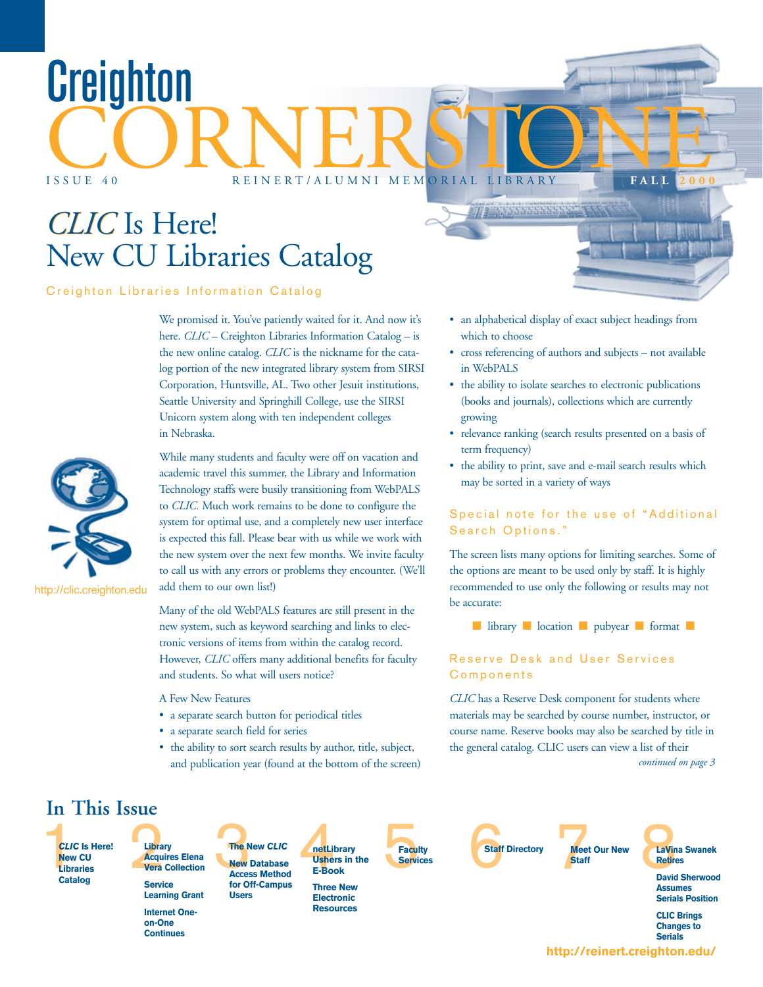# *CLIC CLIC* Is Here! New CU Libraries Catalog

#### Creighton Libraries Information Catalog

We promised it. You've patiently waited for it. And now it's here. *CLIC* – Creighton Libraries Information Catalog – is the new online catalog. *CLIC* is the nickname for the catalog portion of the new integrated library system from SIRSI Corporation, Huntsville, AL. Two other Jesuit institutions, Seattle University and Springhill College, use the SIRSI Unicorn system along with ten independent colleges in Nebraska.

CORNERSTONE

ISSUE 40 REINERT/ALUMNI MEMORIAL LIBRARY **F ALL 2000**

http://clic.creighton.edu

While many students and faculty were off on vacation and academic travel this summer, the Library and Information Technology staffs were busily transitioning from WebPALS to *CLIC.* Much work remains to be done to configure the system for optimal use, and a completely new user interface is expected this fall. Please bear with us while we work with the new system over the next few months. We invite faculty to call us with any errors or problems they encounter. (We'll add them to our own list!)

Many of the old WebPALS features are still present in the new system, such as keyword searching and links to electronic versions of items from within the catalog record. However, *CLIC* offers many additional benefits for faculty and students. So what will users notice?

A Few New Features

- a separate search button for periodical titles
- a separate search field for series
- the ability to sort search results by author, title, subject, and publication year (found at the bottom of the screen)

• an alphabetical display of exact subject headings from which to choose

 $\sqrt{p}$  (we denote a

- cross referencing of authors and subjects not available in WebPALS
- the ability to isolate searches to electronic publications (books and journals), collections which are currently growing
- relevance ranking (search results presented on a basis of term frequency)
- the ability to print, save and e-mail search results which may be sorted in a variety of ways

#### Special note for the use of "Additional Search Options."

The screen lists many options for limiting searches. Some of the options are meant to be used only by staff. It is highly recommended to use only the following or results may not be accurate:

■ library ■ location ■ pubyear ■ format ■

#### Reserve Desk and User Services Components

*CLIC* has a Reserve Desk component for students where materials may be searched by course number, instructor, or course name. Reserve books may also be searched by title in the general catalog. CLIC users can view a list of their *continued on page 3*

### **In This Issue**

**New CU Libraries Catalog Is Here! Library**

**A cquires Elena Vera Collection Service**

**Continues**

**Learning Grant Internet Oneon-One**

**CLIC** Is Here!<br>
New CU Requires Elena<br>
Library<br>
Libraries Vera Collection<br>
Catalog<br>
Catalog<br>
Catalog<br>
Catalog<br>
Catalog<br>
Catalog<br>
Catalog<br>
Catalog<br>
Catalog<br>
Catalog<br>
Catalog<br>
Catalog<br>
Catalog<br>
Catalog<br>
Catalog<br>
Catalog<br>
Ca **rary**<br> **ra Collection**<br> **ra Collection**<br> **ra Collection**<br> **Races Method**<br> **Races Method**<br> **Races Method**<br> **E-Book**<br> **Races Method**<br> **E-Book The New** *CLIC* **New Database Access Method for Off-Campus Users**

**Ushers in the E-Book Three New Electronic Resources**

**netLibrary**

**Faculty Services**





**Meet Our New Pala Swanek<br>Staff Band Sherwood Blue Band Sherwood Retires**

**David Sherwood Assumes Serials Position**

**CLIC Brings Changes to Serials**

**http://reinert.creighton.edu/**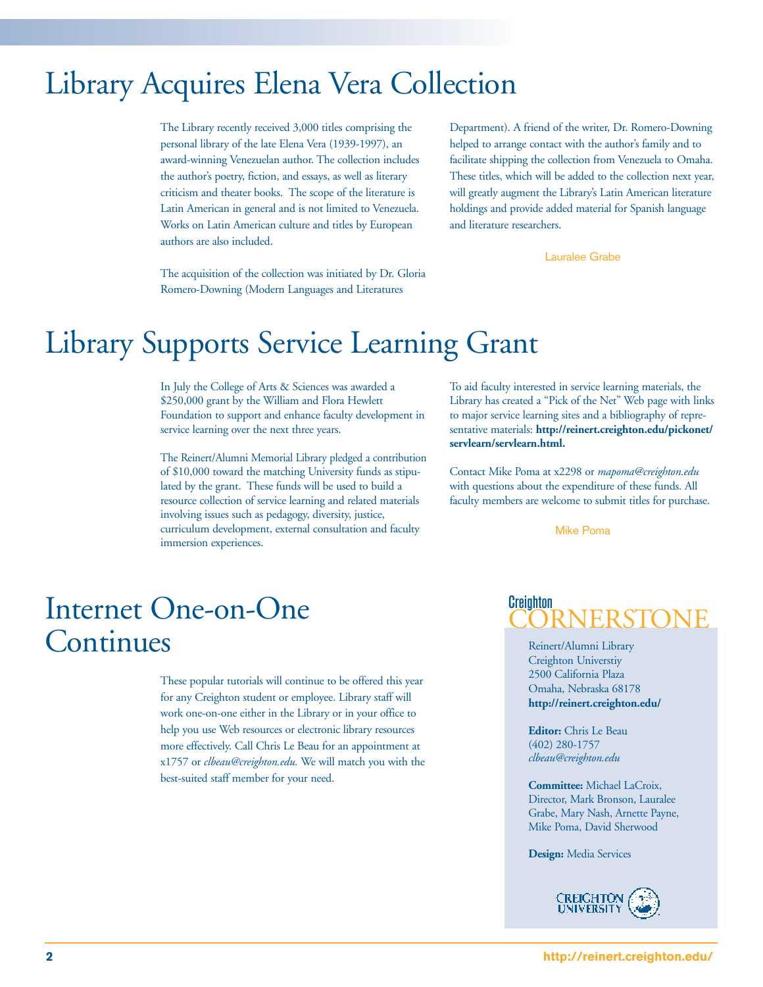### Library Acquires Elena Vera Collection

The Library recently received 3,000 titles comprising the personal library of the late Elena Vera (1939-1997), an award-winning Venezuelan author. The collection includes the author's poetry, fiction, and essays, as well as literary criticism and theater books. The scope of the literature is Latin American in general and is not limited to Venezuela. Works on Latin American culture and titles by European authors are also included.

Department). A friend of the writer, Dr. Romero-Downing helped to arrange contact with the author's family and to facilitate shipping the collection from Venezuela to Omaha. These titles, which will be added to the collection next year, will greatly augment the Library's Latin American literature holdings and provide added material for Spanish language and literature researchers.

Lauralee Grabe

The acquisition of the collection was initiated by Dr. Gloria Romero-Downing (Modern Languages and Literatures

### Library Supports Service Learning Grant

In July the College of Arts & Sciences was awarded a \$250,000 grant by the William and Flora Hewlett Foundation to support and enhance faculty development in service learning over the next three years.

The Reinert/Alumni Memorial Library pledged a contribution of \$10,000 toward the matching University funds as stipulated by the grant. These funds will be used to build a resource collection of service learning and related materials involving issues such as pedagogy, diversity, justice, curriculum development, external consultation and faculty immersion experiences.

To aid faculty interested in service learning materials, the Library has created a "Pick of the Net" Web page with links to major service learning sites and a bibliography of representative materials: **http://reinert.creighton.edu/pickonet/ servlearn/servlearn.html.**

Contact Mike Poma at x2298 or *mapoma@creighton.edu* with questions about the expenditure of these funds. All faculty members are welcome to submit titles for purchase.

Mike Poma

### Internet One-on-One Continues

These popular tutorials will continue to be offered this year for any Creighton student or employee. Library staff will work one-on-one either in the Library or in your office to help you use Web resources or electronic library resources more effectively. Call Chris Le Beau for an appointment at x1757 or *clbeau@creighton.edu.* We will match you with the best-suited staff member for your need.



Reinert/Alumni Library Creighton Universtiy 2500 California Plaza Omaha, Nebraska 68178 **http://reinert.creighton.edu/**

**Editor:** Chris Le Beau (402) 280-1757 *clbeau@creighton.edu*

**Committee:** Michael LaCroix, Director, Mark Bronson, Lauralee Grabe, Mary Nash, Arnette Payne, Mike Poma, David Sherwood

**Design:** Media Services

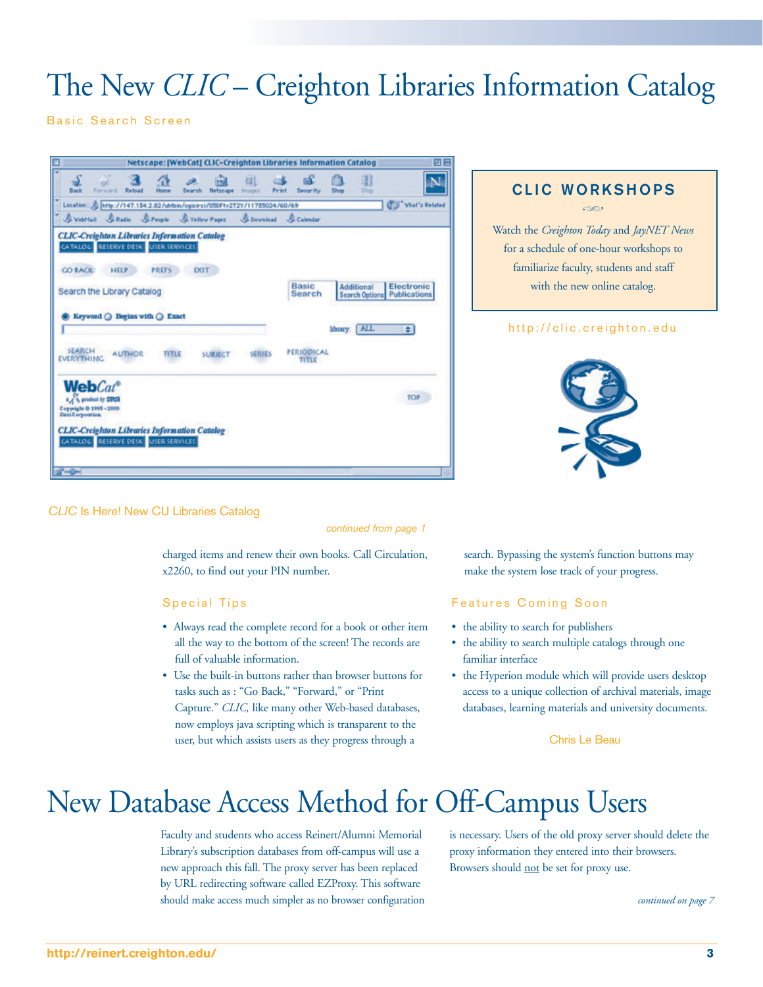## The New *CLIC* – Creighton Libraries Information Catalog

Basic Search Screen



#### *CLIC* Is Here! New CU Libraries Catalog

#### *continued from page 1*

charged items and renew their own books. Call Circulation, x2260, to find out your PIN number.

#### Special Tips

- Always read the complete record for a book or other item all the way to the bottom of the screen! The records are full of valuable information.
- Use the built-in buttons rather than browser buttons for tasks such as : "Go Back," "Forward," or "Print Capture." *CLIC,* like many other Web-based databases, now employs java scripting which is transparent to the user, but which assists users as they progress through a

### **CLIC WORKSHOPS**

h

Watch the *Creighton Today* and *JayNET News* for a schedule of one-hour workshops to familiarize faculty, students and staff with the new online catalog.

#### http://clic.creighton.edu



search. Bypassing the system's function buttons may make the system lose track of your progress.

#### Features Coming Soon

- the ability to search for publishers
- the ability to search multiple catalogs through one familiar interface
- the Hyperion module which will provide users desktop access to a unique collection of archival materials, image databases, learning materials and university documents.

Chris Le Beau

## New Database Access Method for Off-Campus Users

Faculty and students who access Reinert/Alumni Memorial Library's subscription databases from off-campus will use a new approach this fall. The proxy server has been replaced by URL redirecting software called EZProxy. This software should make access much simpler as no browser configuration is necessary. Users of the old proxy server should delete the proxy information they entered into their browsers. Browsers should not be set for proxy use.

*continued on page 7*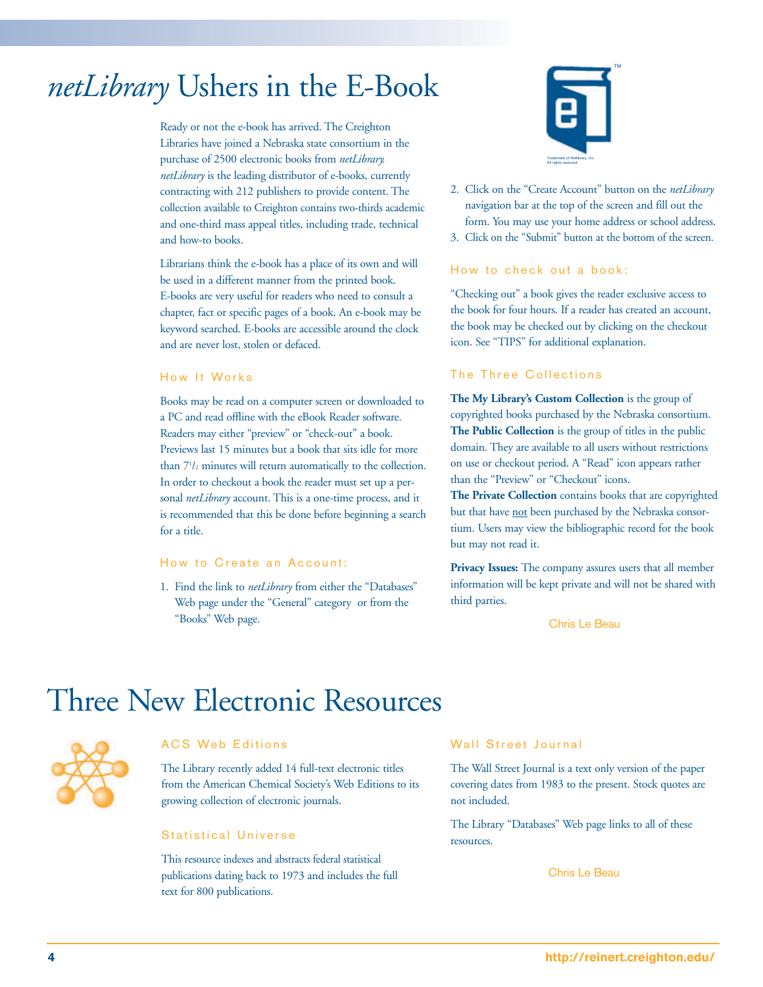### *netLibrary* Ushers in the E-Book

Ready or not the e-book has arrived. The Creighton Libraries have joined a Nebraska state consortium in the purchase of 2500 electronic books from *netLibrary. netLibrary* is the leading distributor of e-books, currently contracting with 212 publishers to provide content. The collection available to Creighton contains two-thirds academic and one-third mass appeal titles, including trade, technical and how-to books.

Librarians think the e-book has a place of its own and will be used in a different manner from the printed book. E-books are very useful for readers who need to consult a chapter, fact or specific pages of a book. An e-book may be keyword searched. E-books are accessible around the clock and are never lost, stolen or defaced.

#### How It Works

Books may be read on a computer screen or downloaded to a PC and read offline with the eBook Reader software. Readers may either "preview" or "check-out" a book. Previews last 15 minutes but a book that sits idle for more than 71 /2 minutes will return automatically to the collection. In order to checkout a book the reader must set up a personal *netLibrary* account. This is a one-time process, and it is recommended that this be done before beginning a search for a title.

#### How to Create an Account:

1. Find the link to *netLibrary* from either the "Databases" Web page under the "General" category or from the "Books" Web page.



- 2. Click on the "Create Account" button on the *netLibrary* navigation bar at the top of the screen and fill out the form. You may use your home address or school address.
- 3. Click on the "Submit" button at the bottom of the screen.

#### How to check out a book:

"Checking out" a book gives the reader exclusive access to the book for four hours. If a reader has created an account, the book may be checked out by clicking on the checkout icon. See "TIPS" for additional explanation.

#### The Three Collections

**The My Library's Custom Collection** is the group of copyrighted books purchased by the Nebraska consortium. **The Public Collection** is the group of titles in the public domain. They are available to all users without restrictions on use or checkout period. A "Read" icon appears rather than the "Preview" or "Checkout" icons.

**The Private Collection** contains books that are copyrighted but that have not been purchased by the Nebraska consortium. Users may view the bibliographic record for the book but may not read it.

**Privacy Issues:** The company assures users that all member information will be kept private and will not be shared with third parties.

Chris Le Beau

### Three New Electronic Resources



#### ACS Web Editions

The Library recently added 14 full-text electronic titles from the American Chemical Society's Web Editions to its growing collection of electronic journals.

#### Statistical Universe

This resource indexes and abstracts federal statistical publications dating back to 1973 and includes the full text for 800 publications.

#### Wall Street Journal

The Wall Street Journal is a text only version of the paper covering dates from 1983 to the present. Stock quotes are not included.

The Library "Databases" Web page links to all of these resources.

Chris Le Beau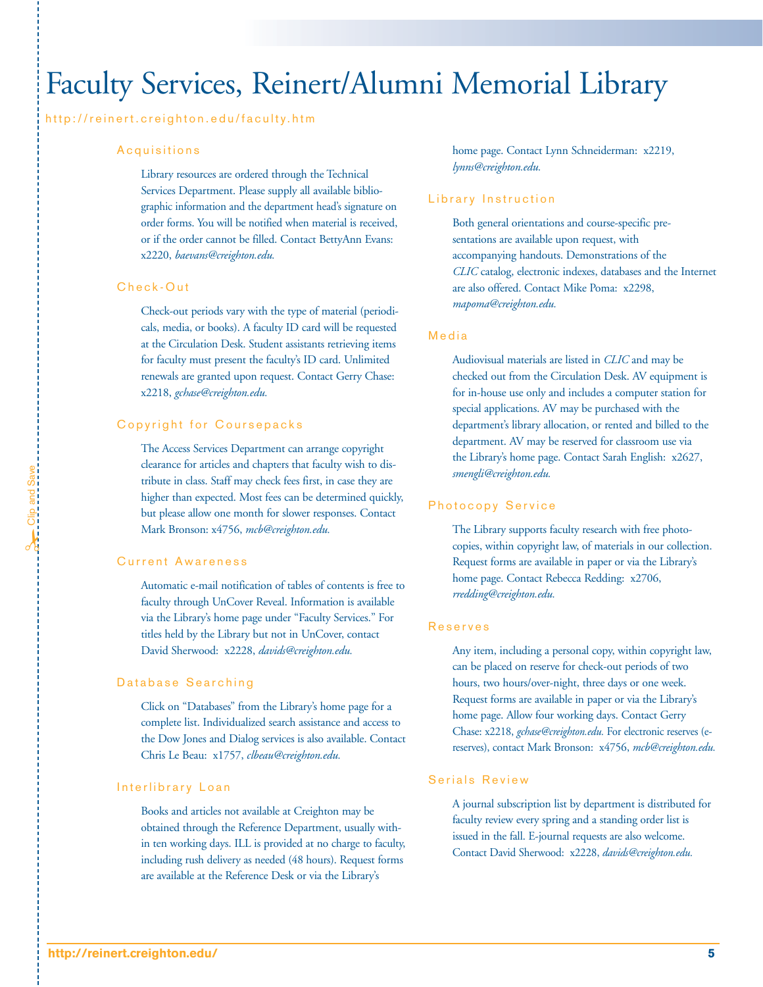### Faculty Services, Reinert/Alumni Memorial Library

#### http://reinert.creighton.edu/faculty.htm

#### Acquisitions

Library resources are ordered through the Technical Services Department. Please supply all available bibliographic information and the department head's signature on order forms. You will be notified when material is received, or if the order cannot be filled. Contact BettyAnn Evans: x2220, *baevans@creighton.edu.*

#### Check-Out

Check-out periods vary with the type of material (periodicals, media, or books). A faculty ID card will be requested at the Circulation Desk. Student assistants retrieving items for faculty must present the faculty's ID card. Unlimited renewals are granted upon request. Contact Gerry Chase: x2218, *gchase@creighton.edu.*

#### Copyright for Coursepacks

The Access Services Department can arrange copyright clearance for articles and chapters that faculty wish to distribute in class. Staff may check fees first, in case they are higher than expected. Most fees can be determined quickly, but please allow one month for slower responses. Contact Mark Bronson: x4756, *mcb@creighton.edu.*

#### Current Awareness

Automatic e-mail notification of tables of contents is free to faculty through UnCover Reveal. Information is available via the Library's home page under "Faculty Services." For titles held by the Library but not in UnCover, contact David Sherwood: x2228, *davids@creighton.edu.*

#### Database Searching

Click on "Databases" from the Library's home page for a complete list. Individualized search assistance and access to the Dow Jones and Dialog services is also available. Contact Chris Le Beau: x1757, *clbeau@creighton.edu.*

#### Interlibrary Loan

Books and articles not available at Creighton may be obtained through the Reference Department, usually within ten working days. ILL is provided at no charge to faculty, including rush delivery as needed (48 hours). Request forms are available at the Reference Desk or via the Library's

home page. Contact Lynn Schneiderman: x2219, *lynns@creighton.edu.* 

#### Library Instruction

Both general orientations and course-specific presentations are available upon request, with accompanying handouts. Demonstrations of the *CLIC* catalog, electronic indexes, databases and the Internet are also offered. Contact Mike Poma: x2298, *mapoma@creighton.edu.*

#### Media

Audiovisual materials are listed in *CLIC* and may be checked out from the Circulation Desk. AV equipment is for in-house use only and includes a computer station for special applications. AV may be purchased with the department's library allocation, or rented and billed to the department. AV may be reserved for classroom use via the Library's home page. Contact Sarah English: x2627, *smengli@creighton.edu.*

#### Photocopy Service

The Library supports faculty research with free photocopies, within copyright law, of materials in our collection. Request forms are available in paper or via the Library's home page. Contact Rebecca Redding: x2706, *rredding@creighton.edu.*

#### Reserves

Any item, including a personal copy, within copyright law, can be placed on reserve for check-out periods of two hours, two hours/over-night, three days or one week. Request forms are available in paper or via the Library's home page. Allow four working days. Contact Gerry Chase: x2218, *gchase@creighton.edu.* For electronic reserves (ereserves), contact Mark Bronson: x4756, *mcb@creighton.edu.*

#### Serials Review

A journal subscription list by department is distributed for faculty review every spring and a standing order list is issued in the fall. E-journal requests are also welcome. Contact David Sherwood: x2228, *davids@creighton.edu.*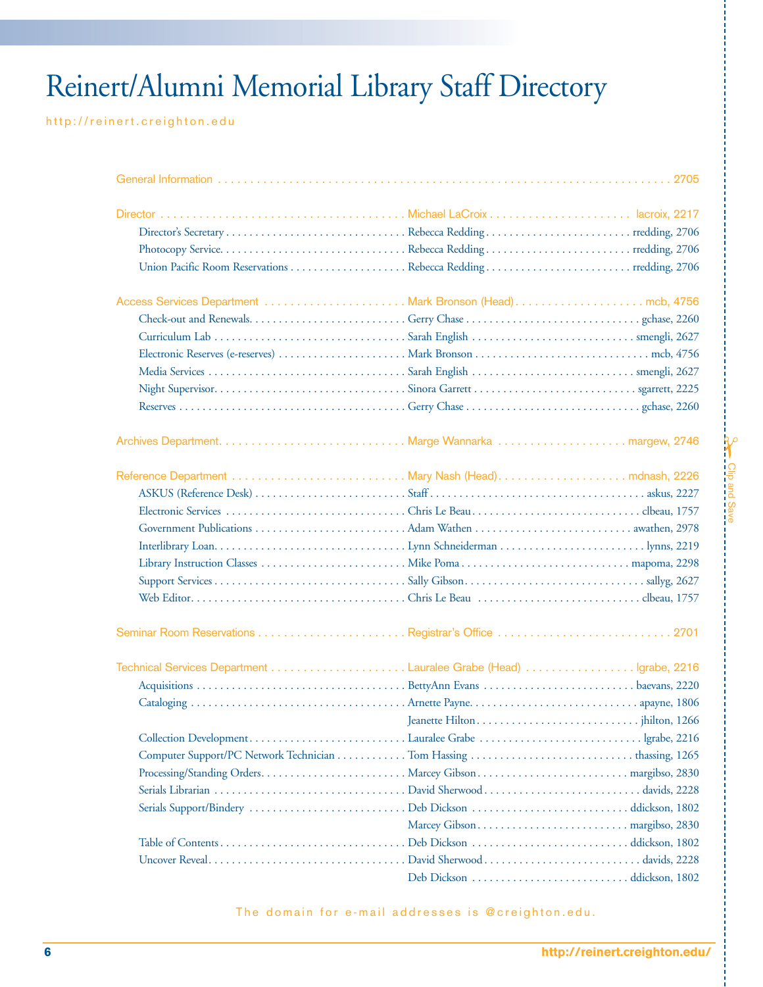# Reinert/Alumni Memorial Library Staff Directory

http://reinert.creighton.edu

| 2705 |
|------|
|      |
|      |
|      |
|      |
|      |
|      |
|      |
|      |

The domain for e-mail addresses is @creighton.edu.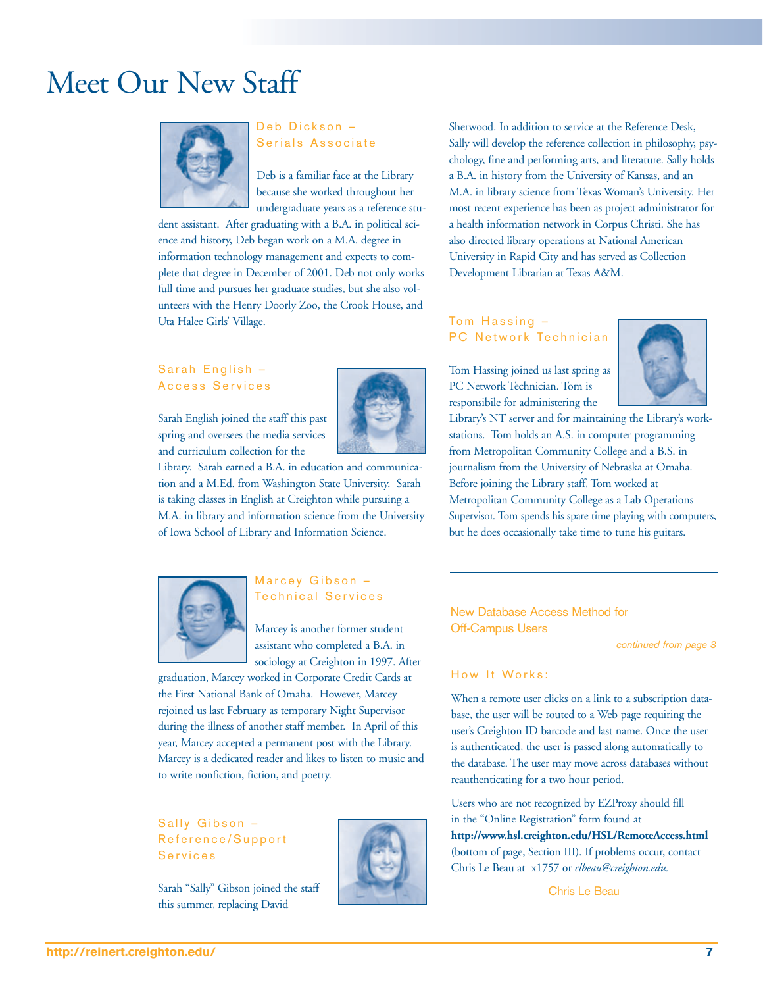### Meet Our New Staff



Deb Dickson – Serials Associate

Deb is a familiar face at the Library because she worked throughout her undergraduate years as a reference stu-

dent assistant. After graduating with a B.A. in political science and history, Deb began work on a M.A. degree in information technology management and expects to complete that degree in December of 2001. Deb not only works full time and pursues her graduate studies, but she also volunteers with the Henry Doorly Zoo, the Crook House, and Uta Halee Girls' Village.

#### Sarah English – Access Services

Sarah English joined the staff this past spring and oversees the media services and curriculum collection for the



Library. Sarah earned a B.A. in education and communication and a M.Ed. from Washington State University. Sarah is taking classes in English at Creighton while pursuing a M.A. in library and information science from the University of Iowa School of Library and Information Science.

Sherwood. In addition to service at the Reference Desk, Sally will develop the reference collection in philosophy, psychology, fine and performing arts, and literature. Sally holds a B.A. in history from the University of Kansas, and an M.A. in library science from Texas Woman's University. Her most recent experience has been as project administrator for a health information network in Corpus Christi. She has also directed library operations at National American University in Rapid City and has served as Collection Development Librarian at Texas A&M.

#### Tom Hassing – PC Network Technician

Tom Hassing joined us last spring as PC Network Technician. Tom is responsibile for administering the



Library's NT server and for maintaining the Library's workstations. Tom holds an A.S. in computer programming from Metropolitan Community College and a B.S. in journalism from the University of Nebraska at Omaha. Before joining the Library staff, Tom worked at Metropolitan Community College as a Lab Operations Supervisor. Tom spends his spare time playing with computers, but he does occasionally take time to tune his guitars.



#### Marcey Gibson – Technical Services

Marcey is another former student assistant who completed a B.A. in sociology at Creighton in 1997. After

graduation, Marcey worked in Corporate Credit Cards at the First National Bank of Omaha. However, Marcey rejoined us last February as temporary Night Supervisor during the illness of another staff member. In April of this year, Marcey accepted a permanent post with the Library. Marcey is a dedicated reader and likes to listen to music and to write nonfiction, fiction, and poetry.

#### Sally Gibson – Reference/Support Services

Sarah "Sally" Gibson joined the staff this summer, replacing David



New Database Access Method for Off-Campus Users

*continued from page 3*

#### How It Works:

When a remote user clicks on a link to a subscription database, the user will be routed to a Web page requiring the user's Creighton ID barcode and last name. Once the user is authenticated, the user is passed along automatically to the database. The user may move across databases without reauthenticating for a two hour period.

Users who are not recognized by EZProxy should fill in the "Online Registration" form found at **http://www.hsl.creighton.edu/HSL/RemoteAccess.html** (bottom of page, Section III). If problems occur, contact Chris Le Beau at x1757 or *clbeau@creighton.edu.* 

Chris Le Beau